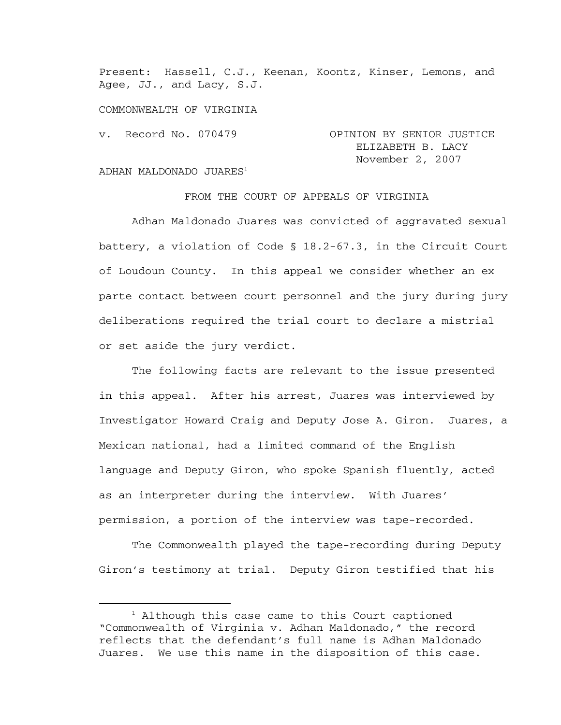Present: Hassell, C.J., Keenan, Koontz, Kinser, Lemons, and Agee, JJ., and Lacy, S.J.

COMMONWEALTH OF VIRGINIA

v. Record No. 070479 OPINION BY SENIOR JUSTICE ELIZABETH B. LACY November 2, 2007

## ADHAN MALDONADO JUARES<sup>1</sup>

FROM THE COURT OF APPEALS OF VIRGINIA

 Adhan Maldonado Juares was convicted of aggravated sexual battery, a violation of Code § 18.2-67.3, in the Circuit Court of Loudoun County. In this appeal we consider whether an ex parte contact between court personnel and the jury during jury deliberations required the trial court to declare a mistrial or set aside the jury verdict.

The following facts are relevant to the issue presented in this appeal. After his arrest, Juares was interviewed by Investigator Howard Craig and Deputy Jose A. Giron. Juares, a Mexican national, had a limited command of the English language and Deputy Giron, who spoke Spanish fluently, acted as an interpreter during the interview. With Juares' permission, a portion of the interview was tape-recorded.

The Commonwealth played the tape-recording during Deputy Giron's testimony at trial. Deputy Giron testified that his

<sup>&</sup>lt;u>1</u>  $<sup>1</sup>$  Although this case came to this Court captioned</sup> "Commonwealth of Virginia v. Adhan Maldonado," the record reflects that the defendant's full name is Adhan Maldonado Juares. We use this name in the disposition of this case.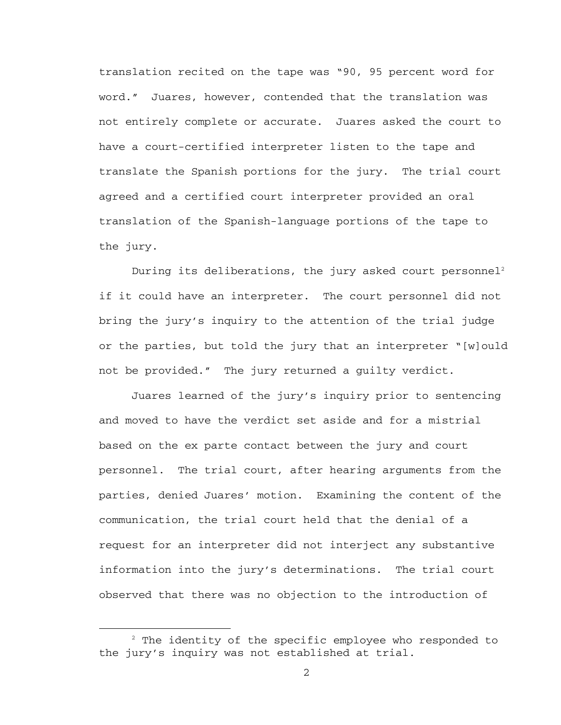translation recited on the tape was "90, 95 percent word for word." Juares, however, contended that the translation was not entirely complete or accurate. Juares asked the court to have a court-certified interpreter listen to the tape and translate the Spanish portions for the jury. The trial court agreed and a certified court interpreter provided an oral translation of the Spanish-language portions of the tape to the jury.

During its deliberations, the jury asked court personnel<sup>2</sup> if it could have an interpreter. The court personnel did not bring the jury's inquiry to the attention of the trial judge or the parties, but told the jury that an interpreter "[w]ould not be provided." The jury returned a guilty verdict.

Juares learned of the jury's inquiry prior to sentencing and moved to have the verdict set aside and for a mistrial based on the ex parte contact between the jury and court personnel. The trial court, after hearing arguments from the parties, denied Juares' motion. Examining the content of the communication, the trial court held that the denial of a request for an interpreter did not interject any substantive information into the jury's determinations. The trial court observed that there was no objection to the introduction of

 $\overline{\phantom{a}}$  $2$  The identity of the specific employee who responded to the jury's inquiry was not established at trial.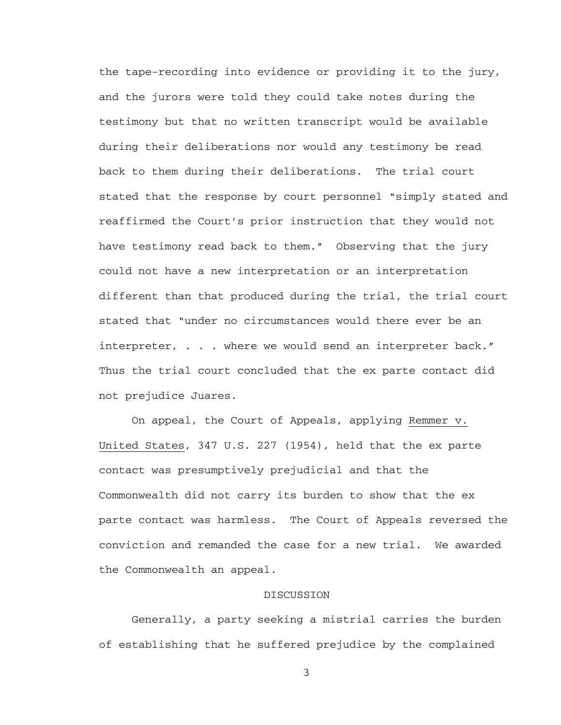the tape-recording into evidence or providing it to the jury, and the jurors were told they could take notes during the testimony but that no written transcript would be available during their deliberations nor would any testimony be read back to them during their deliberations. The trial court stated that the response by court personnel "simply stated and reaffirmed the Court's prior instruction that they would not have testimony read back to them." Observing that the jury could not have a new interpretation or an interpretation different than that produced during the trial, the trial court stated that "under no circumstances would there ever be an interpreter, . . . where we would send an interpreter back." Thus the trial court concluded that the ex parte contact did not prejudice Juares.

 On appeal, the Court of Appeals, applying Remmer v. United States, 347 U.S. 227 (1954), held that the ex parte contact was presumptively prejudicial and that the Commonwealth did not carry its burden to show that the ex parte contact was harmless. The Court of Appeals reversed the conviction and remanded the case for a new trial. We awarded the Commonwealth an appeal.

## DISCUSSION

 Generally, a party seeking a mistrial carries the burden of establishing that he suffered prejudice by the complained

3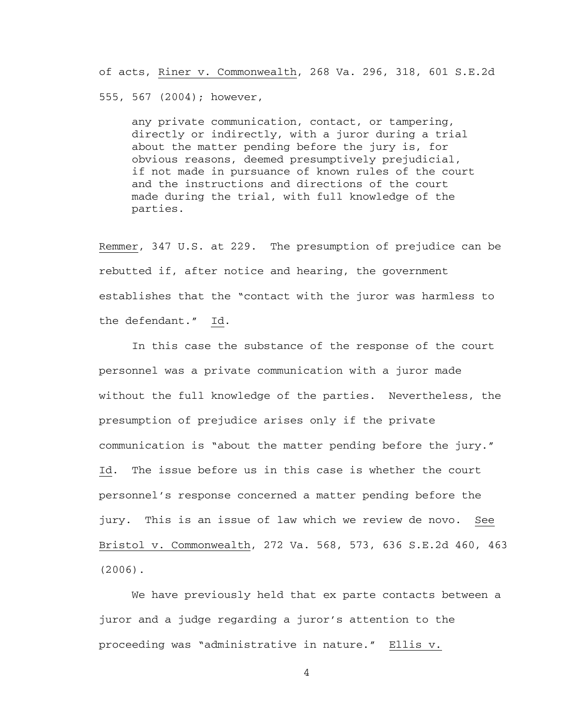of acts, Riner v. Commonwealth, 268 Va. 296, 318, 601 S.E.2d

555, 567 (2004); however,

any private communication, contact, or tampering, directly or indirectly, with a juror during a trial about the matter pending before the jury is, for obvious reasons, deemed presumptively prejudicial, if not made in pursuance of known rules of the court and the instructions and directions of the court made during the trial, with full knowledge of the parties.

Remmer, 347 U.S. at 229. The presumption of prejudice can be rebutted if, after notice and hearing, the government establishes that the "contact with the juror was harmless to the defendant." Id.

 In this case the substance of the response of the court personnel was a private communication with a juror made without the full knowledge of the parties. Nevertheless, the presumption of prejudice arises only if the private communication is "about the matter pending before the jury." Id. The issue before us in this case is whether the court personnel's response concerned a matter pending before the jury. This is an issue of law which we review de novo. See Bristol v. Commonwealth, 272 Va. 568, 573, 636 S.E.2d 460, 463 (2006).

 We have previously held that ex parte contacts between a juror and a judge regarding a juror's attention to the proceeding was "administrative in nature." Ellis v.

4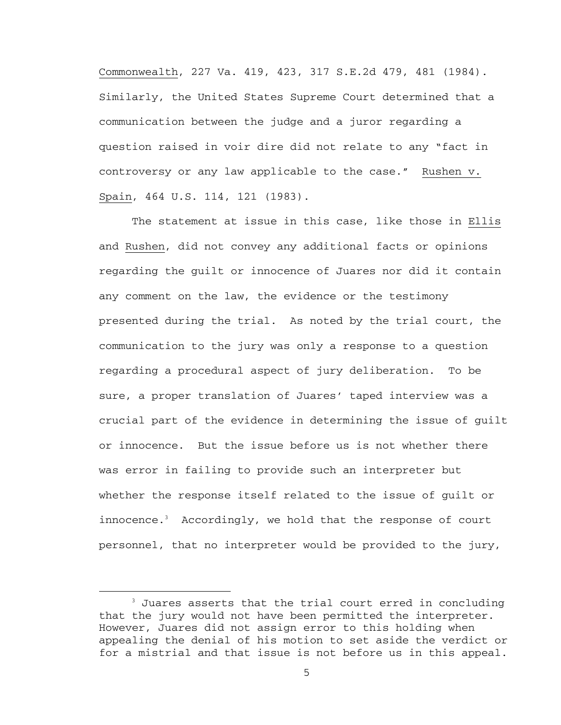Commonwealth, 227 Va. 419, 423, 317 S.E.2d 479, 481 (1984). Similarly, the United States Supreme Court determined that a communication between the judge and a juror regarding a question raised in voir dire did not relate to any "fact in controversy or any law applicable to the case." Rushen v. Spain, 464 U.S. 114, 121 (1983).

 The statement at issue in this case, like those in Ellis and Rushen, did not convey any additional facts or opinions regarding the guilt or innocence of Juares nor did it contain any comment on the law, the evidence or the testimony presented during the trial. As noted by the trial court, the communication to the jury was only a response to a question regarding a procedural aspect of jury deliberation. To be sure, a proper translation of Juares' taped interview was a crucial part of the evidence in determining the issue of guilt or innocence. But the issue before us is not whether there was error in failing to provide such an interpreter but whether the response itself related to the issue of guilt or innocence.3 Accordingly, we hold that the response of court personnel, that no interpreter would be provided to the jury,

 $\begin{array}{c|c}\n\hline\n\text{3}\n\end{array}$  $3$  Juares asserts that the trial court erred in concluding that the jury would not have been permitted the interpreter. However, Juares did not assign error to this holding when appealing the denial of his motion to set aside the verdict or for a mistrial and that issue is not before us in this appeal.